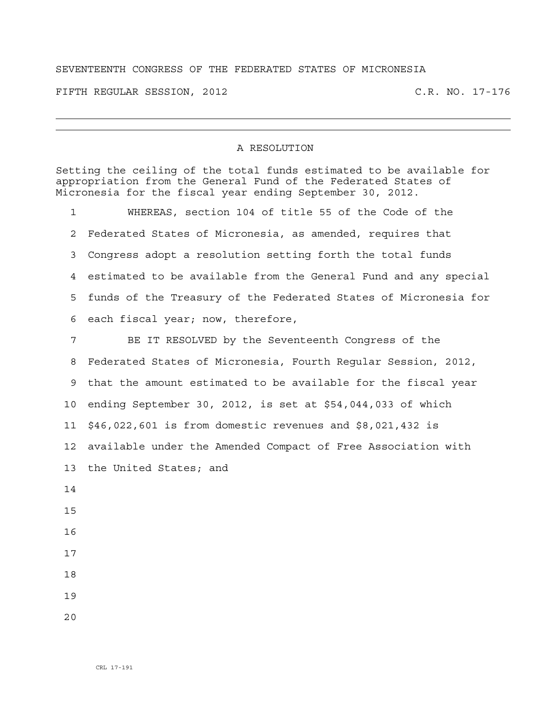## SEVENTEENTH CONGRESS OF THE FEDERATED STATES OF MICRONESIA

FIFTH REGULAR SESSION, 2012 C.R. NO. 17-176

## A RESOLUTION

Setting the ceiling of the total funds estimated to be available for appropriation from the General Fund of the Federated States of Micronesia for the fiscal year ending September 30, 2012.

1 WHEREAS, section 104 of title 55 of the Code of the 2 Federated States of Micronesia, as amended, requires that 3 Congress adopt a resolution setting forth the total funds 4 estimated to be available from the General Fund and any special 5 funds of the Treasury of the Federated States of Micronesia for 6 each fiscal year; now, therefore,

7 BE IT RESOLVED by the Seventeenth Congress of the 8 Federated States of Micronesia, Fourth Regular Session, 2012, 9 that the amount estimated to be available for the fiscal year 10 ending September 30, 2012, is set at \$54,044,033 of which 11 \$46,022,601 is from domestic revenues and \$8,021,432 is 12 available under the Amended Compact of Free Association with 13 the United States; and 14 15 16 17

- 18
- 19
- $2.0$